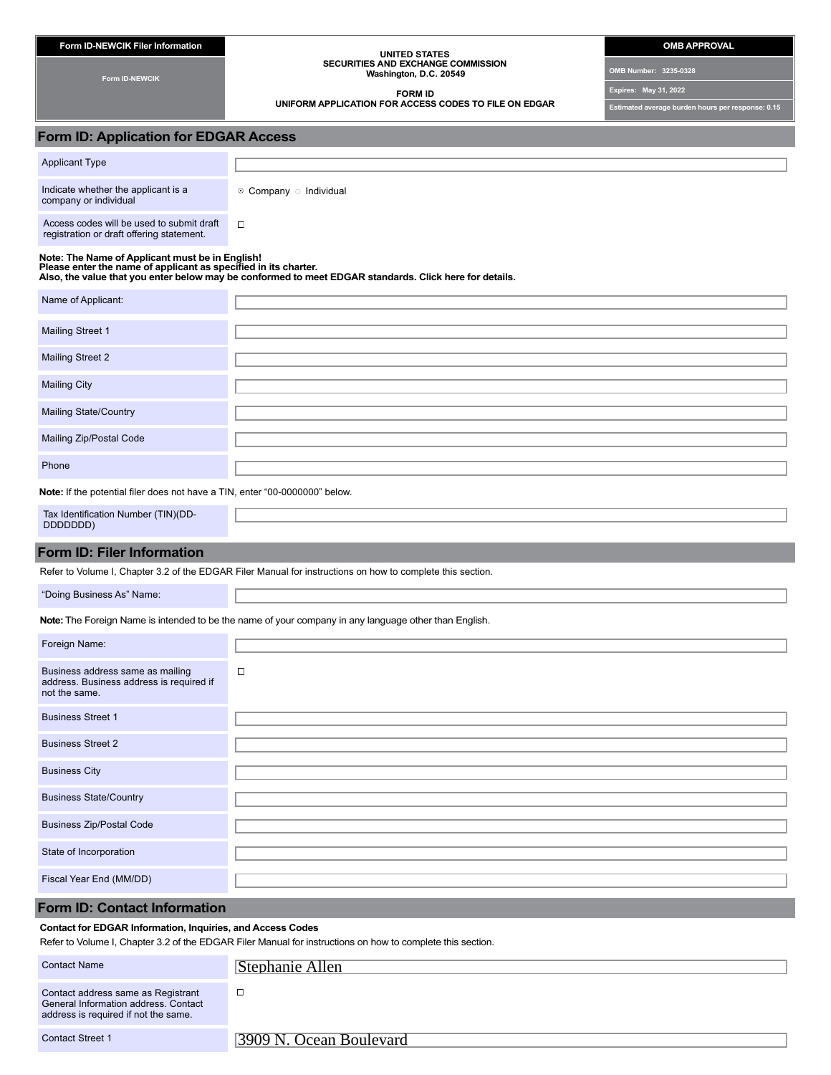| Form ID-NEWCIK Filer Information | OMB APPROVAL |
|----------------------------------|--------------|
|                                  |              |

**Form ID-NEWCIK**

#### **UNITED STATES SECURITIES AND EXCHANGE COMMISSION Washington, D.C. 20549**

**FORM ID** 

**UNIFORM APPLICATION FOR ACCESS CODES TO FILE ON EDGAR**

**OMB Number: 3235-0328**

**Expires: May 31, 2022**

**Estimated average burden hours per response: 0.15**

## **Form ID: Application for EDGAR Access**

| <b>Applicant Type</b>                                        |                                    |
|--------------------------------------------------------------|------------------------------------|
| Indicate whether the applicant is a<br>company or individual | $\odot$ Company $\odot$ Individual |
| Access codes will be used to submit draft                    |                                    |

odes will be used to submit draft registration or draft offering statement.

# Note: The Name of Applicant must be in English!<br>Please enter the name of applicant as specified in its charter.<br>Also, the value that you enter below may be conformed to meet EDGAR standards. Click here for details.

| Name of Applicant:           |  |
|------------------------------|--|
|                              |  |
| Mailing Street 1             |  |
|                              |  |
| <b>Mailing Street 2</b>      |  |
|                              |  |
| <b>Mailing City</b>          |  |
|                              |  |
| <b>Mailing State/Country</b> |  |
|                              |  |
| Mailing Zip/Postal Code      |  |
|                              |  |
| Phone                        |  |

**Note:** If the potential filer does not have a TIN, enter "00-0000000" below.

| TIN)(DD-<br>Tax Identification Number<br>DDDDDDD) |  |
|---------------------------------------------------|--|
|                                                   |  |

# **Form ID: Filer Information**

Refer to Volume I, Chapter 3.2 of the EDGAR Filer Manual for instructions on how to complete this section.

"Doing Business As" Name:

**Note:** The Foreign Name is intended to be the name of your company in any language other than English.

| Foreign Name:                                                                                 |        |
|-----------------------------------------------------------------------------------------------|--------|
| Business address same as mailing<br>address. Business address is required if<br>not the same. | $\Box$ |
| <b>Business Street 1</b>                                                                      |        |
| <b>Business Street 2</b>                                                                      |        |
| <b>Business City</b>                                                                          |        |
| <b>Business State/Country</b>                                                                 |        |
| <b>Business Zip/Postal Code</b>                                                               |        |
| State of Incorporation                                                                        |        |
| Fiscal Year End (MM/DD)                                                                       |        |

### **Form ID: Contact Information**

#### **Contact for EDGAR Information, Inquiries, and Access Codes**

Refer to Volume I, Chapter 3.2 of the EDGAR Filer Manual for instructions on how to complete this section.

| <b>Contact Name</b>                                                                                                | Stephanie Allen        |
|--------------------------------------------------------------------------------------------------------------------|------------------------|
| Contact address same as Registrant<br>General Information address, Contact<br>address is required if not the same. | ப                      |
| <b>Contact Street 1</b>                                                                                            | 3909 N Ocean Boulevard |

3909 N. Ocean Boulevard